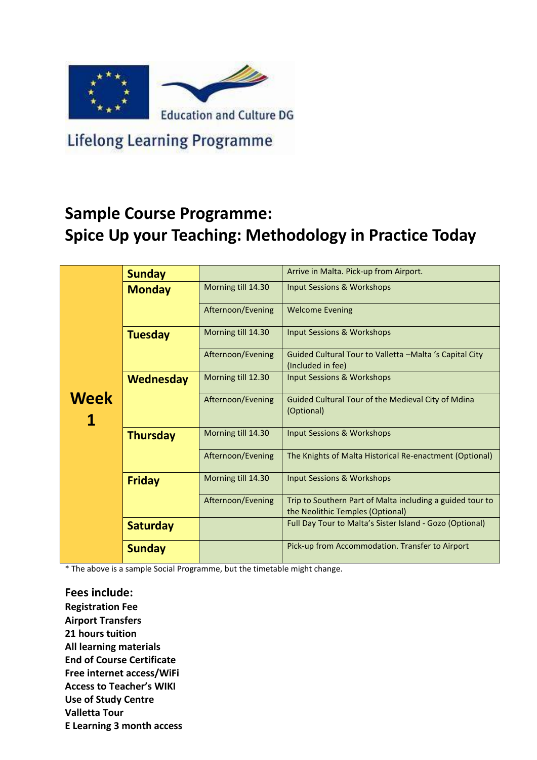

**Lifelong Learning Programme** 

## **Sample Course Programme: Spice Up your Teaching: Methodology in Practice Today**

|             | <b>Sunday</b>    |                    | Arrive in Malta. Pick-up from Airport.                                                        |  |  |  |  |  |
|-------------|------------------|--------------------|-----------------------------------------------------------------------------------------------|--|--|--|--|--|
|             | <b>Monday</b>    | Morning till 14.30 | Input Sessions & Workshops                                                                    |  |  |  |  |  |
|             |                  | Afternoon/Evening  | <b>Welcome Evening</b>                                                                        |  |  |  |  |  |
|             | <b>Tuesday</b>   | Morning till 14.30 | <b>Input Sessions &amp; Workshops</b>                                                         |  |  |  |  |  |
|             |                  | Afternoon/Evening  | Guided Cultural Tour to Valletta -Malta 's Capital City<br>(Included in fee)                  |  |  |  |  |  |
|             | <b>Wednesday</b> | Morning till 12.30 | <b>Input Sessions &amp; Workshops</b>                                                         |  |  |  |  |  |
| <b>Week</b> |                  | Afternoon/Evening  | Guided Cultural Tour of the Medieval City of Mdina<br>(Optional)                              |  |  |  |  |  |
|             | <b>Thursday</b>  | Morning till 14.30 | <b>Input Sessions &amp; Workshops</b>                                                         |  |  |  |  |  |
|             |                  | Afternoon/Evening  | The Knights of Malta Historical Re-enactment (Optional)                                       |  |  |  |  |  |
|             | <b>Friday</b>    | Morning till 14.30 | Input Sessions & Workshops                                                                    |  |  |  |  |  |
|             |                  | Afternoon/Evening  | Trip to Southern Part of Malta including a guided tour to<br>the Neolithic Temples (Optional) |  |  |  |  |  |
|             | <b>Saturday</b>  |                    | Full Day Tour to Malta's Sister Island - Gozo (Optional)                                      |  |  |  |  |  |
|             | <b>Sunday</b>    |                    | Pick-up from Accommodation. Transfer to Airport                                               |  |  |  |  |  |

\* The above is a sample Social Programme, but the timetable might change.

**Fees include: Registration Fee Airport Transfers 21 hours tuition All learning materials End of Course Certificate Free internet access/WiFi Access to Teacher's WIKI Use of Study Centre Valletta Tour E Learning 3 month access**